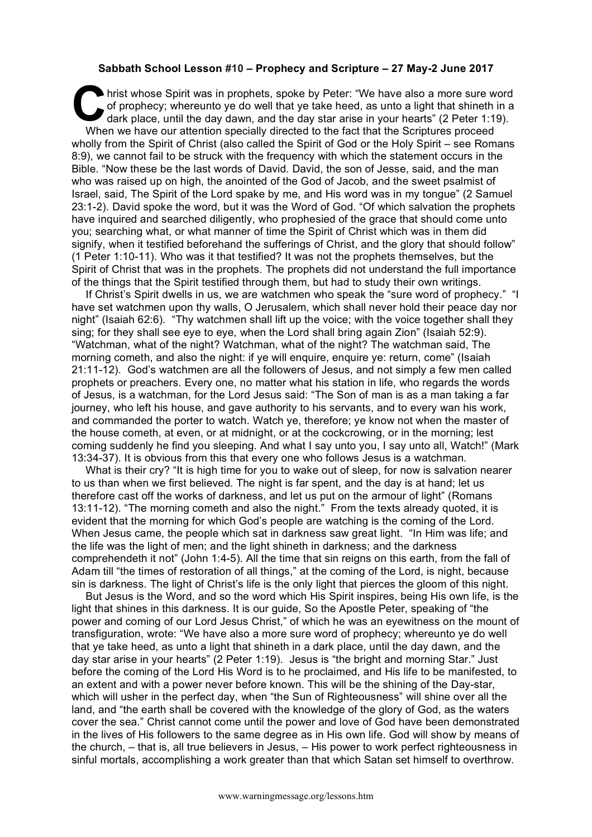## **Sabbath School Lesson #10 – Prophecy and Scripture – 27 May-2 June 2017**

hrist whose Spirit was in prophets, spoke by Peter: "We have also a more sure word of prophecy; whereunto ye do well that ye take heed, as unto a light that shineth in a dark place, until the day dawn, and the day star ari of prophecy; whereunto ye do well that ye take heed, as unto a light that shineth in a dark place, until the day dawn, and the day star arise in your hearts" (2 Peter 1:19). When we have our attention specially directed to the fact that the Scriptures proceed wholly from the Spirit of Christ (also called the Spirit of God or the Holy Spirit – see Romans 8:9), we cannot fail to be struck with the frequency with which the statement occurs in the Bible. "Now these be the last words of David. David, the son of Jesse, said, and the man who was raised up on high, the anointed of the God of Jacob, and the sweet psalmist of Israel, said, The Spirit of the Lord spake by me, and His word was in my tongue" (2 Samuel 23:1-2). David spoke the word, but it was the Word of God. "Of which salvation the prophets have inquired and searched diligently, who prophesied of the grace that should come unto you; searching what, or what manner of time the Spirit of Christ which was in them did signify, when it testified beforehand the sufferings of Christ, and the glory that should follow" (1 Peter 1:10-11). Who was it that testified? It was not the prophets themselves, but the Spirit of Christ that was in the prophets. The prophets did not understand the full importance of the things that the Spirit testified through them, but had to study their own writings.

If Christ's Spirit dwells in us, we are watchmen who speak the "sure word of prophecy." "I have set watchmen upon thy walls, O Jerusalem, which shall never hold their peace day nor night" (Isaiah 62:6). "Thy watchmen shall lift up the voice; with the voice together shall they sing; for they shall see eye to eye, when the Lord shall bring again Zion" (Isaiah 52:9). "Watchman, what of the night? Watchman, what of the night? The watchman said, The morning cometh, and also the night: if ye will enquire, enquire ye: return, come" (Isaiah 21:11-12). God's watchmen are all the followers of Jesus, and not simply a few men called prophets or preachers. Every one, no matter what his station in life, who regards the words of Jesus, is a watchman, for the Lord Jesus said: "The Son of man is as a man taking a far journey, who left his house, and gave authority to his servants, and to every wan his work, and commanded the porter to watch. Watch ye, therefore; ye know not when the master of the house cometh, at even, or at midnight, or at the cockcrowing, or in the morning; lest coming suddenly he find you sleeping. And what I say unto you, I say unto all, Watch!" (Mark 13:34-37). It is obvious from this that every one who follows Jesus is a watchman.

What is their cry? "It is high time for you to wake out of sleep, for now is salvation nearer to us than when we first believed. The night is far spent, and the day is at hand; let us therefore cast off the works of darkness, and let us put on the armour of light" (Romans 13:11-12). "The morning cometh and also the night." From the texts already quoted, it is evident that the morning for which God's people are watching is the coming of the Lord. When Jesus came, the people which sat in darkness saw great light. "In Him was life; and the life was the light of men; and the light shineth in darkness; and the darkness comprehendeth it not" (John 1:4-5). All the time that sin reigns on this earth, from the fall of Adam till "the times of restoration of all things," at the coming of the Lord, is night, because sin is darkness. The light of Christ's life is the only light that pierces the gloom of this night.

But Jesus is the Word, and so the word which His Spirit inspires, being His own life, is the light that shines in this darkness. It is our guide, So the Apostle Peter, speaking of "the power and coming of our Lord Jesus Christ," of which he was an eyewitness on the mount of transfiguration, wrote: "We have also a more sure word of prophecy; whereunto ye do well that ye take heed, as unto a light that shineth in a dark place, until the day dawn, and the day star arise in your hearts" (2 Peter 1:19). Jesus is "the bright and morning Star." Just before the coming of the Lord His Word is to he proclaimed, and His life to be manifested, to an extent and with a power never before known. This will be the shining of the Day-star, which will usher in the perfect day, when "the Sun of Righteousness" will shine over all the land, and "the earth shall be covered with the knowledge of the glory of God, as the waters cover the sea." Christ cannot come until the power and love of God have been demonstrated in the lives of His followers to the same degree as in His own life. God will show by means of the church, – that is, all true believers in Jesus, – His power to work perfect righteousness in sinful mortals, accomplishing a work greater than that which Satan set himself to overthrow.